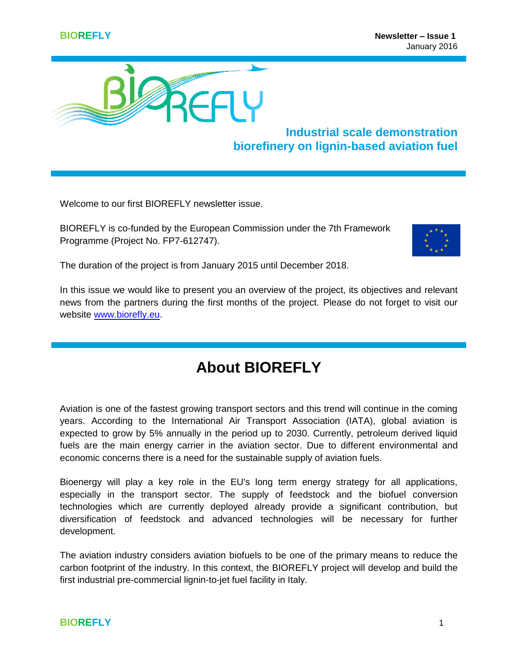

**Industrial scale demonstration biorefinery on lignin-based aviation fuel**

Welcome to our first BIOREFLY newsletter issue.

BIOREFLY is co-funded by the European Commission under the 7th Framework Programme (Project No. FP7-612747).



The duration of the project is from January 2015 until December 2018.

In this issue we would like to present you an overview of the project, its objectives and relevant news from the partners during the first months of the project. Please do not forget to visit our website [www.biorefly.eu.](http://www.biorefly.eu/)

## **About BIOREFLY**

Aviation is one of the fastest growing transport sectors and this trend will continue in the coming years. According to the International Air Transport Association (IATA), global aviation is expected to grow by 5% annually in the period up to 2030. Currently, petroleum derived liquid fuels are the main energy carrier in the aviation sector. Due to different environmental and economic concerns there is a need for the sustainable supply of aviation fuels.

Bioenergy will play a key role in the EU's long term energy strategy for all applications, especially in the transport sector. The supply of feedstock and the biofuel conversion technologies which are currently deployed already provide a significant contribution, but diversification of feedstock and advanced technologies will be necessary for further development.

The aviation industry considers aviation biofuels to be one of the primary means to reduce the carbon footprint of the industry. In this context, the BIOREFLY project will develop and build the first industrial pre-commercial lignin-to-jet fuel facility in Italy.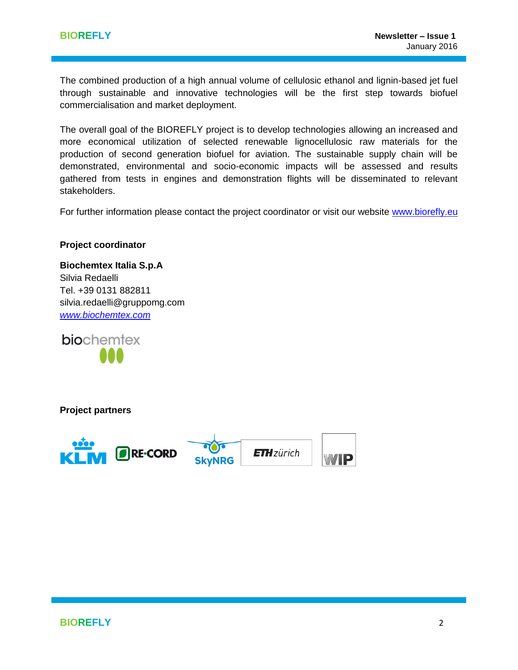The combined production of a high annual volume of cellulosic ethanol and lignin-based jet fuel through sustainable and innovative technologies will be the first step towards biofuel commercialisation and market deployment.

The overall goal of the BIOREFLY project is to develop technologies allowing an increased and more economical utilization of selected renewable lignocellulosic raw materials for the production of second generation biofuel for aviation. The sustainable supply chain will be demonstrated, environmental and socio-economic impacts will be assessed and results gathered from tests in engines and demonstration flights will be disseminated to relevant stakeholders.

For further information please contact the project coordinator or visit our website [www.biorefly.eu](http://www.biorefly.eu/)

#### **Project coordinator**

**Biochemtex Italia S.p.A**  Silvia Redaelli Tel. +39 0131 882811 [silvia.redaelli@gruppomg.com](mailto:silvia.redaelli@gruppomg.com) *[www.biochemtex.com](http://www.biochemtex.com/)*

**bio**chemtex

**Project partners**





**ETH** zürich

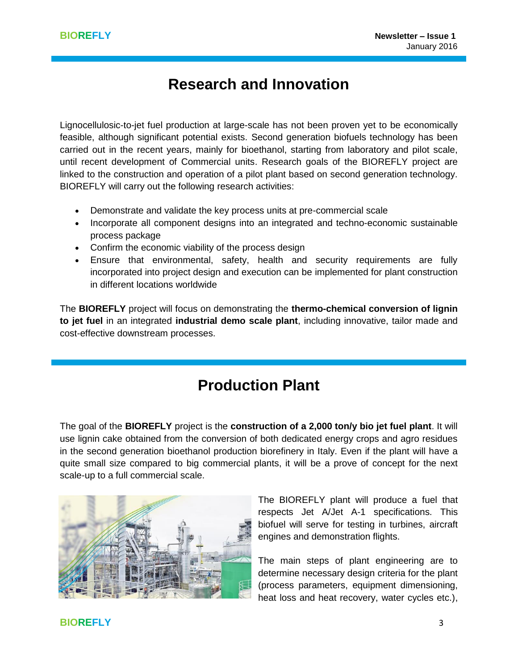## **Research and Innovation**

Lignocellulosic-to-jet fuel production at large-scale has not been proven yet to be economically feasible, although significant potential exists. Second generation biofuels technology has been carried out in the recent years, mainly for bioethanol, starting from laboratory and pilot scale, until recent development of Commercial units. Research goals of the BIOREFLY project are linked to the construction and operation of a pilot plant based on second generation technology. BIOREFLY will carry out the following research activities:

- Demonstrate and validate the key process units at pre-commercial scale
- Incorporate all component designs into an integrated and techno-economic sustainable process package
- Confirm the economic viability of the process design
- Ensure that environmental, safety, health and security requirements are fully incorporated into project design and execution can be implemented for plant construction in different locations worldwide

The **BIOREFLY** project will focus on demonstrating the **thermo-chemical conversion of lignin to jet fuel** in an integrated **industrial demo scale plant**, including innovative, tailor made and cost-effective downstream processes.

## **Production Plant**

The goal of the **BIOREFLY** project is the **construction of a 2,000 ton/y bio jet fuel plant**. It will use lignin cake obtained from the conversion of both dedicated energy crops and agro residues in the second generation bioethanol production biorefinery in Italy. Even if the plant will have a quite small size compared to big commercial plants, it will be a prove of concept for the next scale-up to a full commercial scale.



The BIOREFLY plant will produce a fuel that respects Jet A/Jet A-1 specifications. This biofuel will serve for testing in turbines, aircraft engines and demonstration flights.

The main steps of plant engineering are to determine necessary design criteria for the plant (process parameters, equipment dimensioning, heat loss and heat recovery, water cycles etc.),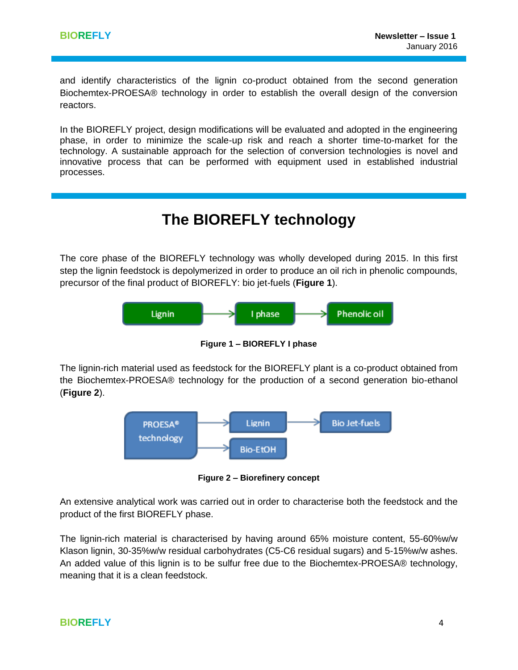and identify characteristics of the lignin co-product obtained from the second generation Biochemtex-PROESA® technology in order to establish the overall design of the conversion reactors.

In the BIOREFLY project, design modifications will be evaluated and adopted in the engineering phase, in order to minimize the scale-up risk and reach a shorter time-to-market for the technology. A sustainable approach for the selection of conversion technologies is novel and innovative process that can be performed with equipment used in established industrial processes.

## **The BIOREFLY technology**

The core phase of the BIOREFLY technology was wholly developed during 2015. In this first step the lignin feedstock is depolymerized in order to produce an oil rich in phenolic compounds, precursor of the final product of BIOREFLY: bio jet-fuels (**Figure 1**).



**Figure 1 – BIOREFLY I phase**

The lignin-rich material used as feedstock for the BIOREFLY plant is a co-product obtained from the Biochemtex-PROESA® technology for the production of a second generation bio-ethanol (**Figure 2**).



**Figure 2 – Biorefinery concept**

An extensive analytical work was carried out in order to characterise both the feedstock and the product of the first BIOREFLY phase.

The lignin-rich material is characterised by having around 65% moisture content, 55-60%w/w Klason lignin, 30-35%w/w residual carbohydrates (C5-C6 residual sugars) and 5-15%w/w ashes. An added value of this lignin is to be sulfur free due to the Biochemtex-PROESA® technology, meaning that it is a clean feedstock.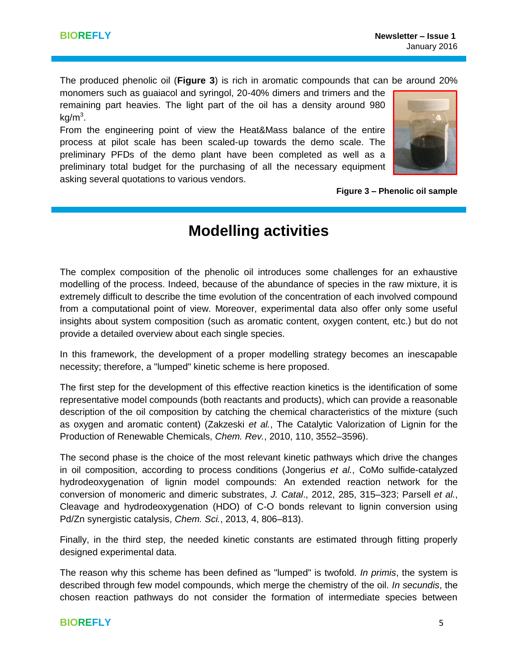The produced phenolic oil (**Figure 3**) is rich in aromatic compounds that can be around 20%

monomers such as guaiacol and syringol, 20-40% dimers and trimers and the remaining part heavies. The light part of the oil has a density around 980  $kg/m<sup>3</sup>$ .

From the engineering point of view the Heat&Mass balance of the entire process at pilot scale has been scaled-up towards the demo scale. The preliminary PFDs of the demo plant have been completed as well as a preliminary total budget for the purchasing of all the necessary equipment asking several quotations to various vendors.



**Figure 3 – Phenolic oil sample**

## **Modelling activities**

The complex composition of the phenolic oil introduces some challenges for an exhaustive modelling of the process. Indeed, because of the abundance of species in the raw mixture, it is extremely difficult to describe the time evolution of the concentration of each involved compound from a computational point of view. Moreover, experimental data also offer only some useful insights about system composition (such as aromatic content, oxygen content, etc.) but do not provide a detailed overview about each single species.

In this framework, the development of a proper modelling strategy becomes an inescapable necessity; therefore, a "lumped" kinetic scheme is here proposed.

The first step for the development of this effective reaction kinetics is the identification of some representative model compounds (both reactants and products), which can provide a reasonable description of the oil composition by catching the chemical characteristics of the mixture (such as oxygen and aromatic content) (Zakzeski *et al.*, The Catalytic Valorization of Lignin for the Production of Renewable Chemicals, *Chem. Rev.*, 2010, 110, 3552–3596).

The second phase is the choice of the most relevant kinetic pathways which drive the changes in oil composition, according to process conditions (Jongerius *et al.*, CoMo sulfide-catalyzed hydrodeoxygenation of lignin model compounds: An extended reaction network for the conversion of monomeric and dimeric substrates, *J. Catal*., 2012, 285, 315–323; Parsell *et al.*, Cleavage and hydrodeoxygenation (HDO) of C-O bonds relevant to lignin conversion using Pd/Zn synergistic catalysis, *Chem. Sci.*, 2013, 4, 806–813).

Finally, in the third step, the needed kinetic constants are estimated through fitting properly designed experimental data.

The reason why this scheme has been defined as "lumped" is twofold. *In primis*, the system is described through few model compounds, which merge the chemistry of the oil. *In secundis*, the chosen reaction pathways do not consider the formation of intermediate species between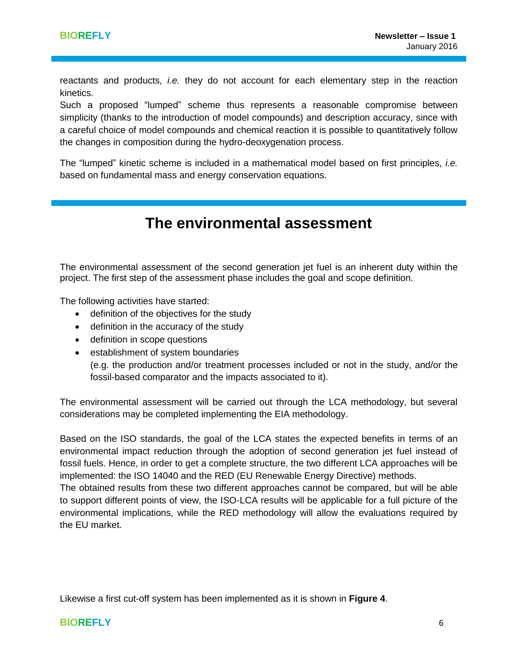reactants and products, *i.e.* they do not account for each elementary step in the reaction kinetics.

Such a proposed "lumped" scheme thus represents a reasonable compromise between simplicity (thanks to the introduction of model compounds) and description accuracy, since with a careful choice of model compounds and chemical reaction it is possible to quantitatively follow the changes in composition during the hydro-deoxygenation process.

The "lumped" kinetic scheme is included in a mathematical model based on first principles, *i.e.* based on fundamental mass and energy conservation equations.

## **The environmental assessment**

The environmental assessment of the second generation jet fuel is an inherent duty within the project. The first step of the assessment phase includes the goal and scope definition.

The following activities have started:

- definition of the objectives for the study
- definition in the accuracy of the study
- definition in scope questions
- establishment of system boundaries

(e.g. the production and/or treatment processes included or not in the study, and/or the fossil-based comparator and the impacts associated to it).

The environmental assessment will be carried out through the LCA methodology, but several considerations may be completed implementing the EIA methodology.

Based on the ISO standards, the goal of the LCA states the expected benefits in terms of an environmental impact reduction through the adoption of second generation jet fuel instead of fossil fuels. Hence, in order to get a complete structure, the two different LCA approaches will be implemented: the ISO 14040 and the RED (EU Renewable Energy Directive) methods.

The obtained results from these two different approaches cannot be compared, but will be able to support different points of view, the ISO-LCA results will be applicable for a full picture of the environmental implications, while the RED methodology will allow the evaluations required by the EU market.

Likewise a first cut-off system has been implemented as it is shown in **Figure 4**.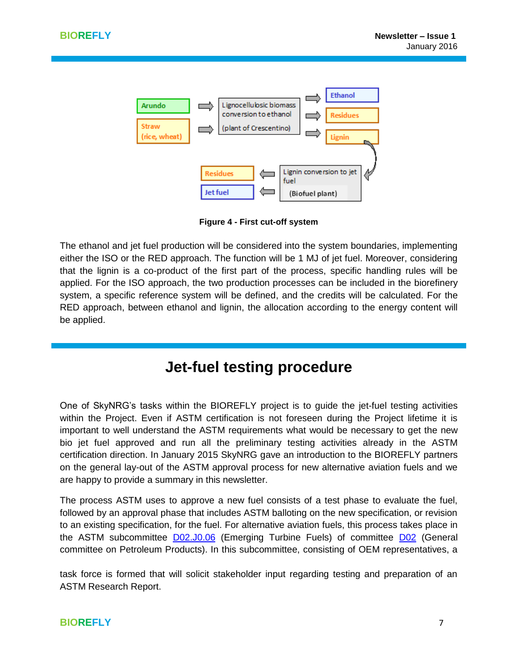

**Figure 4 - First cut-off system**

The ethanol and jet fuel production will be considered into the system boundaries, implementing either the ISO or the RED approach. The function will be 1 MJ of jet fuel. Moreover, considering that the lignin is a co-product of the first part of the process, specific handling rules will be applied. For the ISO approach, the two production processes can be included in the biorefinery system, a specific reference system will be defined, and the credits will be calculated. For the RED approach, between ethanol and lignin, the allocation according to the energy content will be applied.

## **Jet-fuel testing procedure**

One of SkyNRG's tasks within the BIOREFLY project is to guide the jet-fuel testing activities within the Project. Even if ASTM certification is not foreseen during the Project lifetime it is important to well understand the ASTM requirements what would be necessary to get the new bio jet fuel approved and run all the preliminary testing activities already in the ASTM certification direction. In January 2015 SkyNRG gave an introduction to the BIOREFLY partners on the general lay-out of the ASTM approval process for new alternative aviation fuels and we are happy to provide a summary in this newsletter.

The process ASTM uses to approve a new fuel consists of a test phase to evaluate the fuel, followed by an approval phase that includes ASTM balloting on the new specification, or revision to an existing specification, for the fuel. For alternative aviation fuels, this process takes place in the ASTM subcommittee [D02.J0.06](http://www.astm.org/COMMIT/SUBCOMMIT/D02J006.htm) (Emerging Turbine Fuels) of committee [D02](http://www.astm.org/COMMIT/SUBCOMMIT/D02.htm) (General committee on Petroleum Products). In this subcommittee, consisting of OEM representatives, a

task force is formed that will solicit stakeholder input regarding testing and preparation of an ASTM Research Report.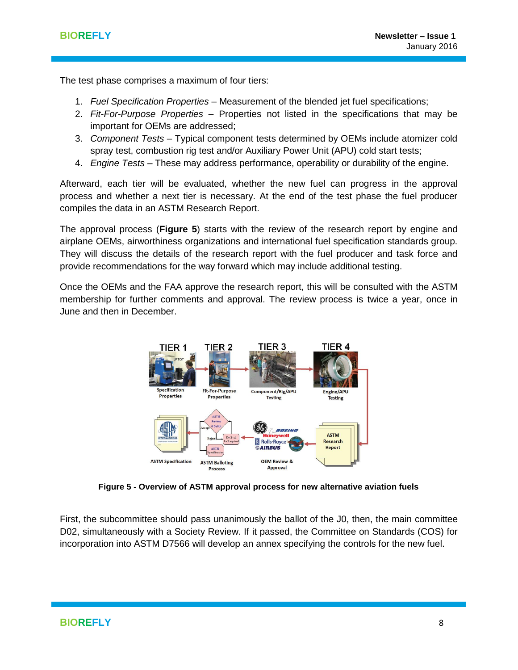The test phase comprises a maximum of four tiers:

- 1. *Fuel Specification Properties* Measurement of the blended jet fuel specifications;
- 2. *Fit-For-Purpose Properties* Properties not listed in the specifications that may be important for OEMs are addressed;
- 3. *Component Tests* Typical component tests determined by OEMs include atomizer cold spray test, combustion rig test and/or Auxiliary Power Unit (APU) cold start tests;
- 4. *Engine Tests* These may address performance, operability or durability of the engine.

Afterward, each tier will be evaluated, whether the new fuel can progress in the approval process and whether a next tier is necessary. At the end of the test phase the fuel producer compiles the data in an ASTM Research Report.

The approval process (**Figure 5**) starts with the review of the research report by engine and airplane OEMs, airworthiness organizations and international fuel specification standards group. They will discuss the details of the research report with the fuel producer and task force and provide recommendations for the way forward which may include additional testing.

Once the OEMs and the FAA approve the research report, this will be consulted with the ASTM membership for further comments and approval. The review process is twice a year, once in June and then in December.



**Figure 5 - Overview of ASTM approval process for new alternative aviation fuels**

First, the subcommittee should pass unanimously the ballot of the J0, then, the main committee D02, simultaneously with a Society Review. If it passed, the Committee on Standards (COS) for incorporation into ASTM D7566 will develop an annex specifying the controls for the new fuel.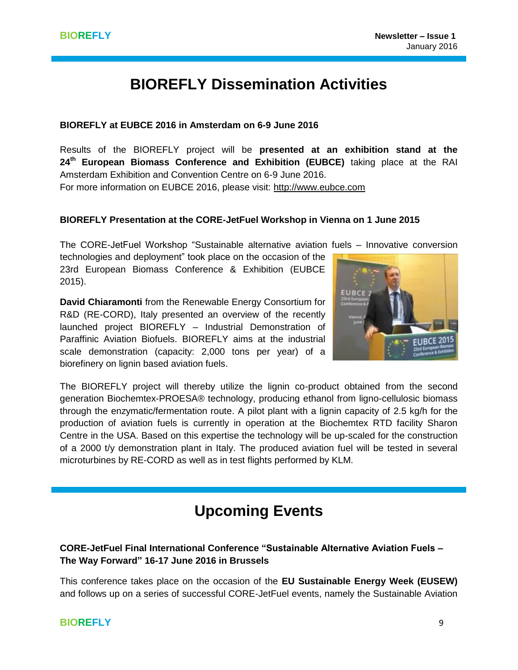# **BIOREFLY Dissemination Activities**

### **BIOREFLY at EUBCE 2016 in Amsterdam on 6-9 June 2016**

Results of the BIOREFLY project will be **presented at an exhibition stand at the 24th European Biomass Conference and Exhibition (EUBCE)** taking place at the RAI Amsterdam Exhibition and Convention Centre on 6-9 June 2016. For more information on EUBCE 2016, please visit: [http://www.eubce.com](http://www.eubce.com/)

### **BIOREFLY Presentation at the CORE-JetFuel Workshop in Vienna on 1 June 2015**

The CORE-JetFuel Workshop "Sustainable alternative aviation fuels – Innovative conversion

technologies and deployment" took place on the occasion of the 23rd European Biomass Conference & Exhibition (EUBCE 2015).

**David Chiaramonti** from the Renewable Energy Consortium for R&D (RE-CORD), Italy presented an overview of the recently launched project BIOREFLY – Industrial Demonstration of Paraffinic Aviation Biofuels. BIOREFLY aims at the industrial scale demonstration (capacity: 2,000 tons per year) of a biorefinery on lignin based aviation fuels.



The BIOREFLY project will thereby utilize the lignin co-product obtained from the second generation Biochemtex-PROESA® technology, producing ethanol from ligno-cellulosic biomass through the enzymatic/fermentation route. A pilot plant with a lignin capacity of 2.5 kg/h for the production of aviation fuels is currently in operation at the Biochemtex RTD facility Sharon Centre in the USA. Based on this expertise the technology will be up-scaled for the construction of a 2000 t/y demonstration plant in Italy. The produced aviation fuel will be tested in several microturbines by RE-CORD as well as in test flights performed by KLM.

## **Upcoming Events**

### **CORE-JetFuel Final International Conference "Sustainable Alternative Aviation Fuels – The Way Forward" 16-17 June 2016 in Brussels**

This conference takes place on the occasion of the **EU Sustainable Energy Week (EUSEW)** and follows up on a series of successful CORE-JetFuel events, namely the Sustainable Aviation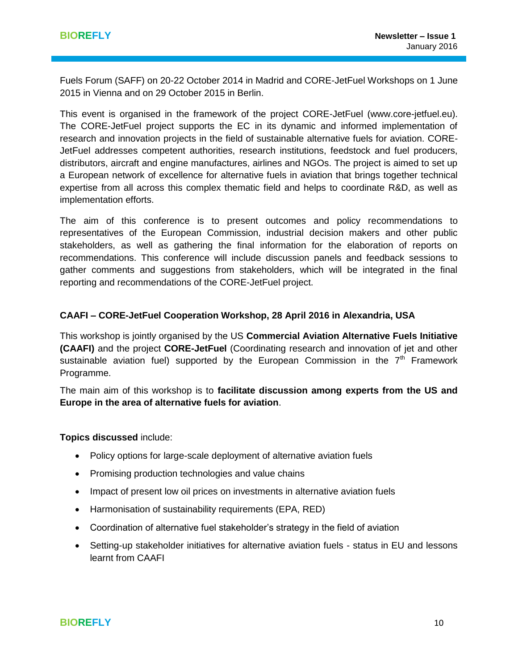Fuels Forum (SAFF) on 20-22 October 2014 in Madrid and CORE-JetFuel Workshops on 1 June 2015 in Vienna and on 29 October 2015 in Berlin.

This event is organised in the framework of the project CORE-JetFuel [\(www.core-jetfuel.eu\)](http://www.core-jetfuel.eu/). The CORE-JetFuel project supports the EC in its dynamic and informed implementation of research and innovation projects in the field of sustainable alternative fuels for aviation. CORE-JetFuel addresses competent authorities, research institutions, feedstock and fuel producers, distributors, aircraft and engine manufactures, airlines and NGOs. The project is aimed to set up a European network of excellence for alternative fuels in aviation that brings together technical expertise from all across this complex thematic field and helps to coordinate R&D, as well as implementation efforts.

The aim of this conference is to present outcomes and policy recommendations to representatives of the European Commission, industrial decision makers and other public stakeholders, as well as gathering the final information for the elaboration of reports on recommendations. This conference will include discussion panels and feedback sessions to gather comments and suggestions from stakeholders, which will be integrated in the final reporting and recommendations of the CORE-JetFuel project.

#### **CAAFI – CORE-JetFuel Cooperation Workshop, 28 April 2016 in Alexandria, USA**

This workshop is jointly organised by the US **Commercial Aviation Alternative Fuels Initiative (CAAFI)** and the project **CORE-JetFuel** (Coordinating research and innovation of jet and other sustainable aviation fuel) supported by the European Commission in the  $7<sup>th</sup>$  Framework Programme.

The main aim of this workshop is to **facilitate discussion among experts from the US and Europe in the area of alternative fuels for aviation**.

**Topics discussed** include:

- Policy options for large-scale deployment of alternative aviation fuels
- Promising production technologies and value chains
- Impact of present low oil prices on investments in alternative aviation fuels
- Harmonisation of sustainability requirements (EPA, RED)
- Coordination of alternative fuel stakeholder's strategy in the field of aviation
- Setting-up stakeholder initiatives for alternative aviation fuels status in EU and lessons learnt from CAAFI